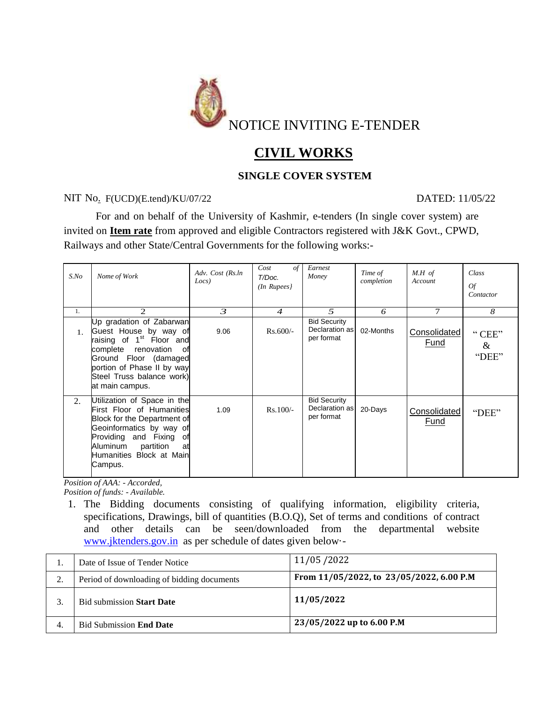

# **CIVIL WORKS**

## **SINGLE COVER SYSTEM**

### NIT No. F(UCD)(E.tend)/KU/07/22 DATED: 11/05/22

For and on behalf of the University of Kashmir, e-tenders (In single cover system) are invited on **Item rate** from approved and eligible Contractors registered with J&K Govt., CPWD, Railways and other State/Central Governments for the following works:-

| $S$ .No        | Nome of Work                                                                                                                                                                                                                     | Adv. Cost (Rs.ln<br>Locs) | Cost<br>$\sigma f$<br>T/Doc.<br>$(In$ Rupees $)$ | Earnest<br>Money                                    | Time of<br>completion | $M.H$ of<br>Account  | Class<br><b>Of</b><br>Contactor |
|----------------|----------------------------------------------------------------------------------------------------------------------------------------------------------------------------------------------------------------------------------|---------------------------|--------------------------------------------------|-----------------------------------------------------|-----------------------|----------------------|---------------------------------|
| 1.             | 2                                                                                                                                                                                                                                | 3                         | $\overline{4}$                                   | 5                                                   | 6                     | 7                    | 8                               |
| $\mathbf{1}$ . | Up gradation of Zabarwan<br>Guest House by way of<br>raising of 1 <sup>st</sup> Floor and<br>complete<br>renovation<br>οf<br>Ground Floor (damaged<br>portion of Phase II by way<br>Steel Truss balance work)<br>at main campus. | 9.06                      | $Rs.600/-$                                       | <b>Bid Security</b><br>Declaration as<br>per format | 02-Months             | Consolidated<br>Fund | "CEE"<br>$\&$<br>"DEE"          |
| 2.             | Utilization of Space in the<br>First Floor of Humanities<br>Block for the Department of<br>Geoinformatics by way of<br>Providing and Fixing of<br>Aluminum<br>partition<br>at<br>Humanities Block at Main<br>Campus.             | 1.09                      | $Rs.100/-$                                       | <b>Bid Security</b><br>Declaration as<br>per format | 20-Days               | Consolidated<br>Fund | "DEE"                           |

*Position of AAA: - Accorded, Position of funds: - Available.*

1. The Bidding documents consisting of qualifying information, eligibility criteria, specifications, Drawings, bill of quantities (B.O.Q), Set of terms and conditions of contract and other details can be seen/downloaded from the departmental website [www.jktenders.gov.in](http://www.jktenders.gov.in/) as per schedule of dates given below·-

|     | Date of Issue of Tender Notice             | 11/05/2022                               |
|-----|--------------------------------------------|------------------------------------------|
|     | Period of downloading of bidding documents | From 11/05/2022, to 23/05/2022, 6.00 P.M |
|     | <b>Bid submission Start Date</b>           | 11/05/2022                               |
| -4. | <b>Bid Submission End Date</b>             | 23/05/2022 up to 6.00 P.M                |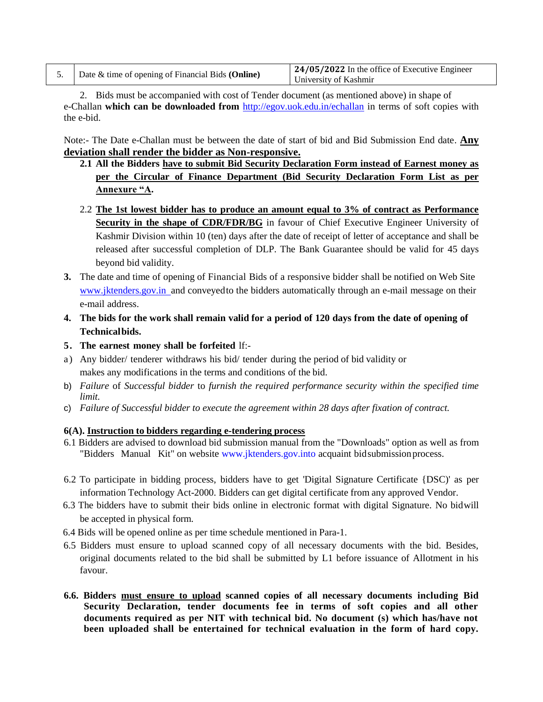| 24/05/2022 In the office of Executive Engineer<br>University of Kashmir |
|-------------------------------------------------------------------------|
|                                                                         |

2. Bids must be accompanied with cost of Tender document (as mentioned above) in shape of e-Challan **which can be downloaded from** <http://egov.uok.edu.in/echallan> in terms of soft copies with the e-bid.

Note:- The Date e-Challan must be between the date of start of bid and Bid Submission End date. **Any deviation shall render the bidder as Non-responsive.**

- **2.1 All the Bidders have to submit Bid Security Declaration Form instead of Earnest money as per the Circular of Finance Department (Bid Security Declaration Form List as per Annexure "A.**
- 2.2 **The 1st lowest bidder has to produce an amount equal to 3% of contract as Performance**  Security in the shape of CDR/FDR/BG in favour of Chief Executive Engineer University of Kashmir Division within 10 (ten) days after the date of receipt of letter of acceptance and shall be released after successful completion of DLP. The Bank Guarantee should be valid for 45 days beyond bid validity.
- **3.** The date and time of opening of Financial Bids of a responsive bidder shall be notified on Web Site www.jktenders.gov.in and conveyed to the bidders automatically through an e-mail message on their e-mail address.
- 4. The bids for the work shall remain valid for a period of 120 days from the date of opening of **Technical bids.**
- **5. The earnest money shall be forfeited** lf:-
- a) Any bidder/ tenderer withdraws his bid/ tender during the period of bid validity or makes any modifications in the terms and conditions of the bid.
- b) *Failure* of *Successful bidder* to *furnish the required performance security within the specified time limit.*
- c) *Failure of Successful bidder to execute the agreement within 28 days after fixation of contract.*

#### **6(A). Instruction to bidders regarding e-tendering process**

- 6.1 Bidders are advised to download bid submission manual from the "Downloads" option as well as from "Bidders Manual Kit" on website [www.jktenders.gov.into](http://www.jktenders.gov.into/) acquaint bid submissionprocess.
- 6.2 To participate in bidding process, bidders have to get 'Digital Signature Certificate {DSC)' as per information Technology Act-2000. Bidders can get digital certificate from any approved Vendor.
- 6.3 The bidders have to submit their bids online in electronic format with digital Signature. No bidwill be accepted in physical form.
- 6.4 Bids will be opened online as per time schedule mentioned in Para-1.
- 6.5 Bidders must ensure to upload scanned copy of all necessary documents with the bid. Besides, original documents related to the bid shall be submitted by L1 before issuance of Allotment in his favour.
- **6.6. Bidders must ensure to upload scanned copies of all necessary documents including Bid Security Declaration, tender documents fee in terms of soft copies and all other documents required as per NIT with technical bid. No document (s) which has/have not been uploaded shall be entertained for technical evaluation in the form of hard copy.**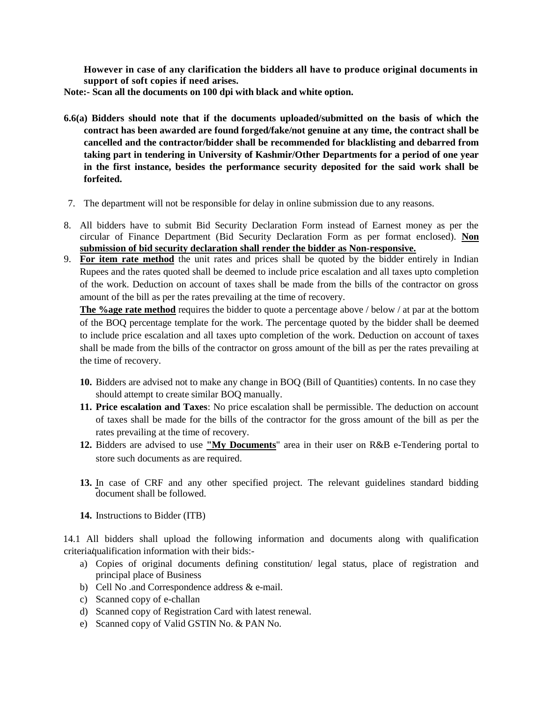**However in case of any clarification the bidders all have to produce original documents in support of soft copies if need arises.**

**Note:- Scan all the documents on 100 dpi with black and white option.**

- **6.6(a) Bidders should note that if the documents uploaded/submitted on the basis of which the contract has been awarded are found forged/fake/not genuine at any time, the contract shall be cancelled and the contractor/bidder shall be recommended for blacklisting and debarred from taking part in tendering in University of Kashmir/Other Departments for a period of one year in the first instance, besides the performance security deposited for the said work shall be forfeited.**
- 7. The department will not be responsible for delay in online submission due to any reasons.
- 8. All bidders have to submit Bid Security Declaration Form instead of Earnest money as per the circular of Finance Department (Bid Security Declaration Form as per format enclosed). **Non submission of bid security declaration shall render the bidder as Non-responsive.**
- 9. **For item rate method** the unit rates and prices shall be quoted by the bidder entirely in Indian Rupees and the rates quoted shall be deemed to include price escalation and all taxes upto completion of the work. Deduction on account of taxes shall be made from the bills of the contractor on gross amount of the bill as per the rates prevailing at the time of recovery.

**The %age rate method** requires the bidder to quote a percentage above / below / at par at the bottom of the BOQ percentage template for the work. The percentage quoted by the bidder shall be deemed to include price escalation and all taxes upto completion of the work. Deduction on account of taxes shall be made from the bills of the contractor on gross amount of the bill as per the rates prevailing at the time of recovery.

- **10.** Bidders are advised not to make any change in BOQ (Bill of Quantities) contents. In no case they should attempt to create similar BOQ manually.
- **11. Price escalation and Taxes**: No price escalation shall be permissible. The deduction on account of taxes shall be made for the bills of the contractor for the gross amount of the bill as per the rates prevailing at the time of recovery.
- **12.** Bidders are advised to use **"My Documents**" area in their user on R&B e-Tendering portal to store such documents as are required.
- **13.** In case of CRF and any other specified project. The relevant guidelines standard bidding document shall be followed.
- **14.** Instructions to Bidder (ITB)

14.1 All bidders shall upload the following information and documents along with qualification criteria qualification information with their bids:-

- a) Copies of original documents defining constitution/ legal status, place of registration and principal place of Business
- b) Cell No .and Correspondence address & e-mail.
- c) Scanned copy of e-challan
- d) Scanned copy of Registration Card with latest renewal.
- e) Scanned copy of Valid GSTIN No. & PAN No.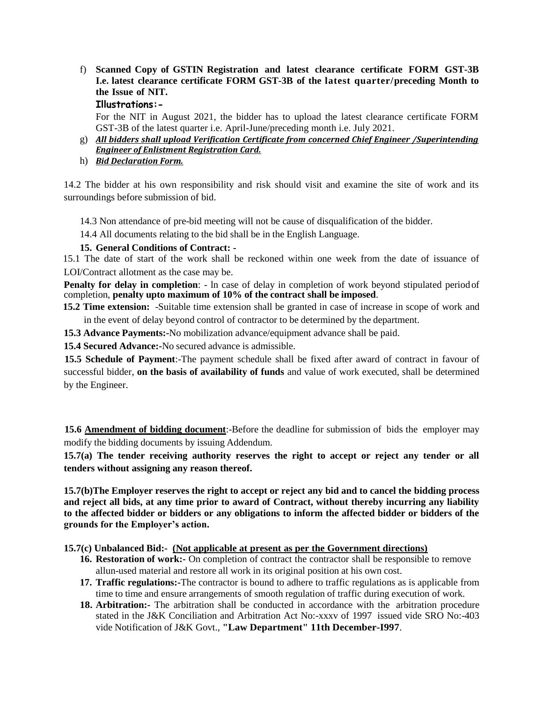f) **Scanned Copy of GSTIN Registration and latest clearance certificate FORM GST-3B I.e. latest clearance certificate FORM GST-3B of the latest quarter/preceding Month to the Issue of NIT.**

#### **Illustrations:-**

For the NIT in August 2021, the bidder has to upload the latest clearance certificate FORM GST-3B of the latest quarter i.e. April-June/preceding month i.e. July 2021.

- g) *All bidders shall upload Verification Certificate from concerned Chief Engineer /Superintending Engineer of Enlistment Registration Card.*
- h) *Bid Declaration Form.*

14.2 The bidder at his own responsibility and risk should visit and examine the site of work and its surroundings before submission of bid.

14.3 Non attendance of pre-bid meeting will not be cause of disqualification of the bidder.

14.4 All documents relating to the bid shall be in the English Language.

#### **15. General Conditions of Contract: -**

15.1 The date of start of the work shall be reckoned within one week from the date of issuance of LOI/Contract allotment as the case may be.

**Penalty for delay in completion**: - In case of delay in completion of work beyond stipulated period of completion, **penalty upto maximum of 10% of the contract shall be imposed**.

**15.2 Time extension:** -Suitable time extension shall be granted in case of increase in scope of work and in the event of delay beyond control of contractor to be determined by the department.

**15.3 Advance Payments:-**No mobilization advance/equipment advance shall be paid.

**15.4 Secured Advance:-**No secured advance is admissible.

**15.5 Schedule of Payment**:-The payment schedule shall be fixed after award of contract in favour of successful bidder, **on the basis of availability of funds** and value of work executed, shall be determined by the Engineer.

**15.6 Amendment of bidding document**:-Before the deadline for submission of bids the employer may modify the bidding documents by issuing Addendum.

**15.7(a) The tender receiving authority reserves the right to accept or reject any tender or all tenders without assigning any reason thereof.**

**15.7(b)The Employer reserves the right to accept or reject any bid and to cancel the bidding process and reject all bids, at any time prior to award of Contract, without thereby incurring any liability to the affected bidder or bidders or any obligations to inform the affected bidder or bidders of the grounds for the Employer's action.**

**15.7(c) Unbalanced Bid:- (Not applicable at present as per the Government directions)**

- **16. Restoration of work:-** On completion of contract the contractor shall be responsible to remove allun-used material and restore all work in its original position at his own cost.
- **17. Traffic regulations:-**The contractor is bound to adhere to traffic regulations as is applicable from time to time and ensure arrangements of smooth regulation of traffic during execution of work.
- **18. Arbitration:-** The arbitration shall be conducted in accordance with the arbitration procedure stated in the J&K Conciliation and Arbitration Act No:-xxxv of 1997 issued vide SRO No:-403 vide Notification of J&K Govt., **"Law Department" 11th December-I997**.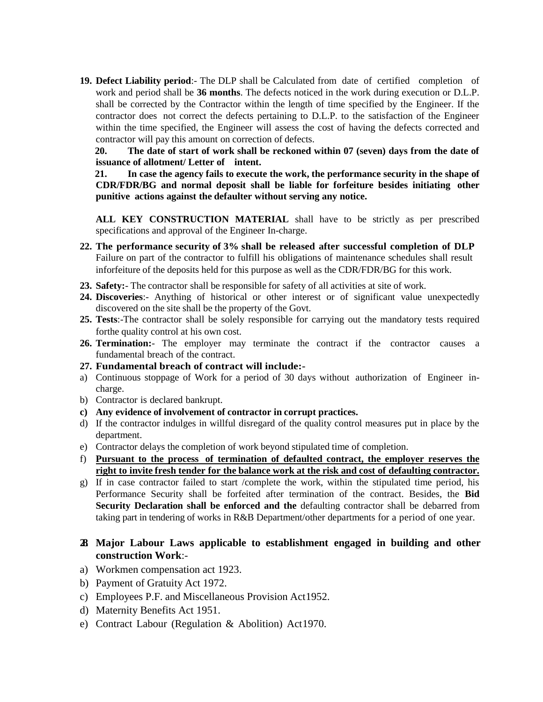**19. Defect Liability period**:- The DLP shall be Calculated from date of certified completion of work and period shall be **36 months**. The defects noticed in the work during execution or D.L.P. shall be corrected by the Contractor within the length of time specified by the Engineer. If the contractor does not correct the defects pertaining to D.L.P. to the satisfaction of the Engineer within the time specified, the Engineer will assess the cost of having the defects corrected and contractor will pay this amount on correction of defects.

**20. The date of start of work shall be reckoned within 07 (seven) days from the date of issuance of allotment/ Letter of intent.** 

**21. In case the agency fails to execute the work, the performance security in the shape of CDR/FDR/BG and normal deposit shall be liable for forfeiture besides initiating other punitive actions against the defaulter without serving any notice.**

**ALL KEY CONSTRUCTION MATERIAL** shall have to be strictly as per prescribed specifications and approval of the Engineer In-charge.

- **22. The performance security of 3% shall be released after successful completion of DLP** Failure on part of the contractor to fulfill his obligations of maintenance schedules shall result inforfeiture of the deposits held for this purpose as well as the CDR/FDR/BG for this work.
- **23. Safety:** The contractor shall be responsible for safety of all activities at site of work.
- **24. Discoveries**:- Anything of historical or other interest or of significant value unexpectedly discovered on the site shall be the property of the Govt.
- **25. Tests**:-The contractor shall be solely responsible for carrying out the mandatory tests required forthe quality control at his own cost.
- 26. **Termination:** The employer may terminate the contract if the contractor causes a fundamental breach of the contract.
- **27. Fundamental breach of contract will include:-**
- a) Continuous stoppage of Work for a period of 30 days without authorization of Engineer incharge.
- b) Contractor is declared bankrupt.
- **c) Any evidence of involvement of contractor in corrupt practices.**
- d) If the contractor indulges in willful disregard of the quality control measures put in place by the department.
- e) Contractor delays the completion of work beyond stipulated time of completion.
- f) **Pursuant to the process of termination of defaulted contract, the employer reserves the right to invite fresh tender for the balance work at the risk and cost of defaulting contractor.**
- g) If in case contractor failed to start /complete the work, within the stipulated time period, his Performance Security shall be forfeited after termination of the contract. Besides, the **Bid Security Declaration shall be enforced and the** defaulting contractor shall be debarred from taking part in tendering of works in R&B Department/other departments for a period of one year.

#### **28. Major Labour Laws applicable to establishment engaged in building and other construction Work**:-

- a) Workmen compensation act 1923.
- b) Payment of Gratuity Act 1972.
- c) Employees P.F. and Miscellaneous Provision Act1952.
- d) Maternity Benefits Act 1951.
- e) Contract Labour (Regulation & Abolition) Act1970.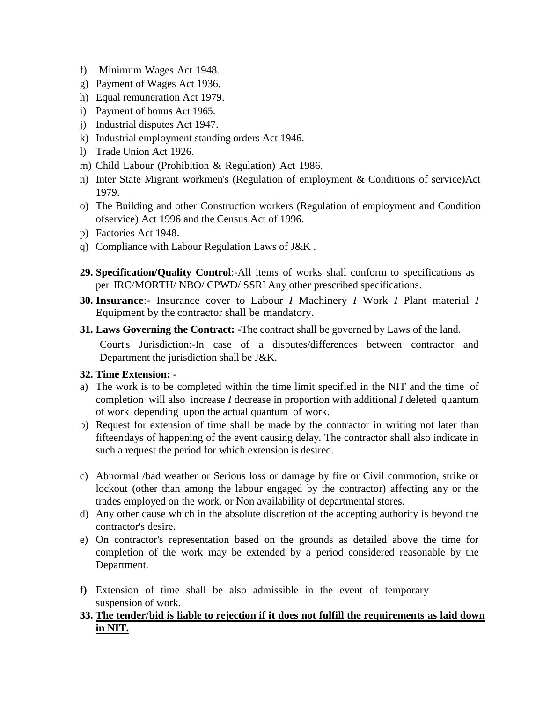- f) Minimum Wages Act 1948.
- g) Payment of Wages Act 1936.
- h) Equal remuneration Act 1979.
- i) Payment of bonus Act 1965.
- j) Industrial disputes Act 1947.
- k) Industrial employment standing orders Act 1946.
- l) Trade Union Act 1926.
- m) Child Labour (Prohibition & Regulation) Act 1986.
- n) Inter State Migrant workmen's (Regulation of employment & Conditions of service)Act 1979.
- o) The Building and other Construction workers (Regulation of employment and Condition ofservice) Act 1996 and the Census Act of 1996.
- p) Factories Act 1948.
- q) Compliance with Labour Regulation Laws of J&K .
- **29. Specification/Quality Control**:-All items of works shall conform to specifications as per IRC/MORTH/ NBO/ CPWD/ SSRI Any other prescribed specifications.
- **30. Insurance**:- Insurance cover to Labour *I* Machinery *I* Work *I* Plant material *I*  Equipment by the contractor shall be mandatory.
- **31. Laws Governing the Contract: -**The contract shall be governed by Laws of the land.

Court's Jurisdiction:-In case of a disputes/differences between contractor and Department the jurisdiction shall be J&K.

#### **32. Time Extension: -**

- a) The work is to be completed within the time limit specified in the NIT and the time of completion will also increase *I* decrease in proportion with additional *I* deleted quantum of work depending upon the actual quantum of work.
- b) Request for extension of time shall be made by the contractor in writing not later than fifteendays of happening of the event causing delay. The contractor shall also indicate in such a request the period for which extension is desired.
- c) Abnormal /bad weather or Serious loss or damage by fire or Civil commotion, strike or lockout (other than among the labour engaged by the contractor) affecting any or the trades employed on the work, or Non availability of departmental stores.
- d) Any other cause which in the absolute discretion of the accepting authority is beyond the contractor's desire.
- e) On contractor's representation based on the grounds as detailed above the time for completion of the work may be extended by a period considered reasonable by the Department.
- **f)** Extension of time shall be also admissible in the event of temporary suspension of work.
- **33. The tender/bid is liable to rejection if it does not fulfill the requirements as laid down in NIT.**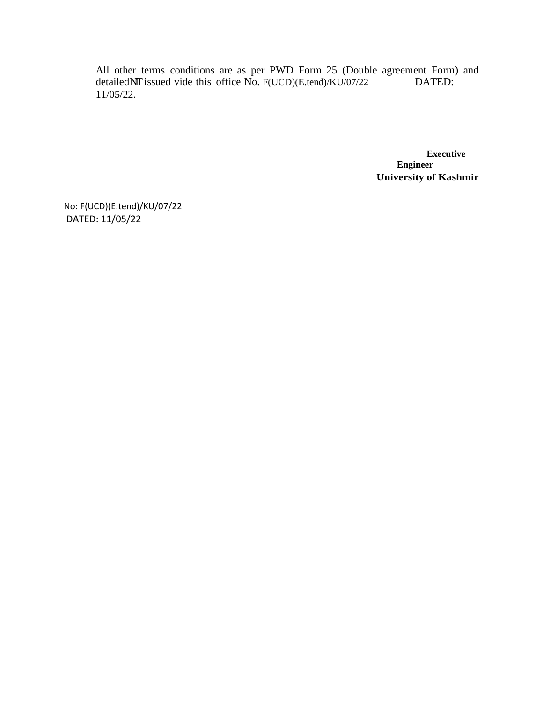All other terms conditions are as per PWD Form 25 (Double agreement Form) and detailedNIT issued vide this office No. F(UCD)(E.tend)/KU/07/22 DATED: 11/05/22.

> **Executive Engineer University of Kashmir**

No: F(UCD)(E.tend)/KU/07/22 DATED: 11/05/22